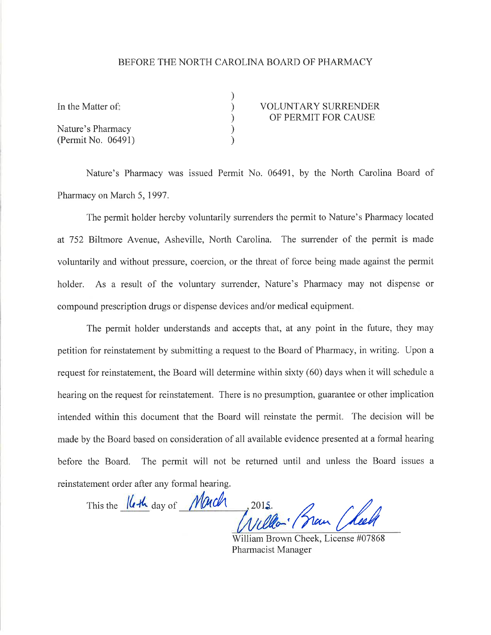## BEFORE THE NORTH CAROLINA BOARD OF PHARMACY

| In the Matter of:  | <b>VOLUNTARY SURRENDER</b> |
|--------------------|----------------------------|
|                    | OF PERMIT FOR CAUSE        |
| Nature's Pharmacy  |                            |
| (Permit No. 06491) |                            |

Nature's Pharmacy was issued Permit No. 06491, by the North Carolina Board of Pharmacy on March 5,1997.

The permit holder hereby voluntarily surrenders the permit to Nature's Pharmacy located at 752 Biltmore Avenue, Asheville, North Carolina. The surrender of the permit is made voluntarily and without pressure, coercion, or the threat of force being made against the permit holder. As a result of the voluntary surrender, Nature's Pharmacy may not dispense or compound prescription drugs or dispense devices and/or medical equipment.

The permit holder understands and accepts that, at any point in the future, they may petition for reinstatement by submitting a request to the Board of Pharmacy, in writing. Upon a request for reinstatement, the Board will determine within sixty (60) days when it will schedule <sup>a</sup> hearing on the request for reinstatement. There is no presumption, guarantee or other implication intended within this document that the Board will reinstate the permit. The decision will be made by the Board based on consideration of all available evidence presented at a formal hearing before the Board. The permit will not be returned until and unless the Board issues <sup>a</sup> reinstatement order after any formal hearing.

This the Keth day of Mach  $/$ *f* 2015. I

William Brown Cheek, License #07868 Pharmacist Manager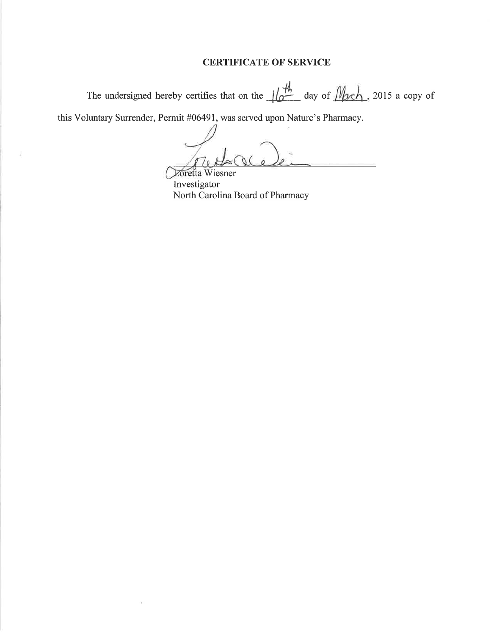## CERTIFICATE OF SERVICE

The undersigned hereby certifies that on the  $\frac{1}{4}$  day of  $\frac{1}{4}$ , 2015 a copy of

this Voluntary Surrender, Permit #0649I, was served upon Nature's Pharmacy.

ò.

Zoretta Wiesner

Investigator North Carolina Board of Pharmacy